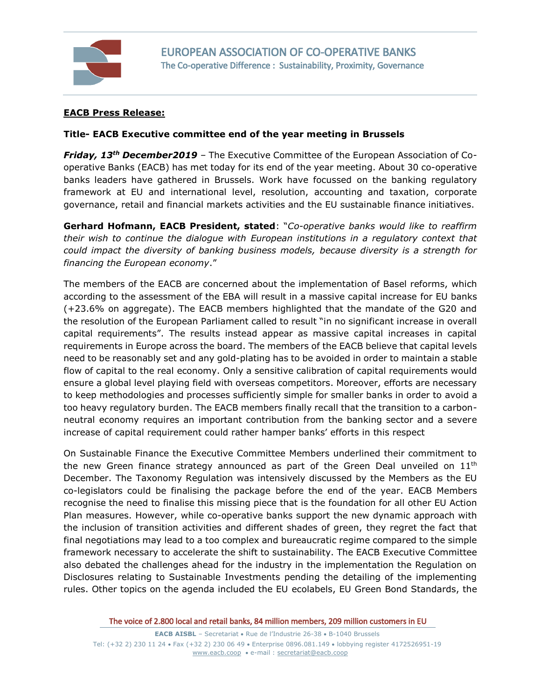

## **EACB Press Release:**

## **Title- EACB Executive committee end of the year meeting in Brussels**

*Friday, 13th December2019 –* The Executive Committee of the European Association of Cooperative Banks (EACB) has met today for its end of the year meeting. About 30 co-operative banks leaders have gathered in Brussels. Work have focussed on the banking regulatory framework at EU and international level, resolution, accounting and taxation, corporate governance, retail and financial markets activities and the EU sustainable finance initiatives.

**Gerhard Hofmann, EACB President, stated**: "*Co-operative banks would like to reaffirm their wish to continue the dialogue with European institutions in a regulatory context that could impact the diversity of banking business models, because diversity is a strength for financing the European economy*."

The members of the EACB are concerned about the implementation of Basel reforms, which according to the assessment of the EBA will result in a massive capital increase for EU banks (+23.6% on aggregate). The EACB members highlighted that the mandate of the G20 and the resolution of the European Parliament called to result "in no significant increase in overall capital requirements". The results instead appear as massive capital increases in capital requirements in Europe across the board. The members of the EACB believe that capital levels need to be reasonably set and any gold-plating has to be avoided in order to maintain a stable flow of capital to the real economy. Only a sensitive calibration of capital requirements would ensure a global level playing field with overseas competitors. Moreover, efforts are necessary to keep methodologies and processes sufficiently simple for smaller banks in order to avoid a too heavy regulatory burden. The EACB members finally recall that the transition to a carbonneutral economy requires an important contribution from the banking sector and a severe increase of capital requirement could rather hamper banks' efforts in this respect

On Sustainable Finance the Executive Committee Members underlined their commitment to the new Green finance strategy announced as part of the Green Deal unveiled on  $11<sup>th</sup>$ December. The Taxonomy Regulation was intensively discussed by the Members as the EU co-legislators could be finalising the package before the end of the year. EACB Members recognise the need to finalise this missing piece that is the foundation for all other EU Action Plan measures. However, while co-operative banks support the new dynamic approach with the inclusion of transition activities and different shades of green, they regret the fact that final negotiations may lead to a too complex and bureaucratic regime compared to the simple framework necessary to accelerate the shift to sustainability. The EACB Executive Committee also debated the challenges ahead for the industry in the implementation the Regulation on Disclosures relating to Sustainable Investments pending the detailing of the implementing rules. Other topics on the agenda included the EU ecolabels, EU Green Bond Standards, the